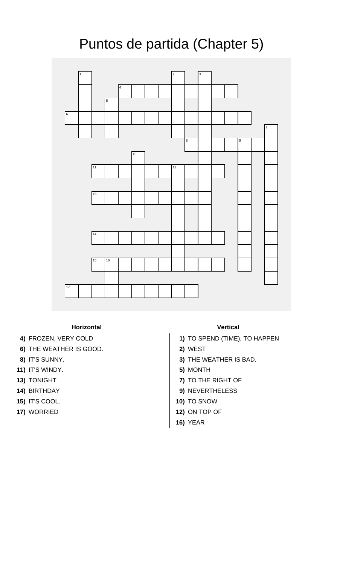## Puntos de partida (Chapter 5)



## **Horizontal Vertical**

- 
- **6)** THE WEATHER IS GOOD. **2)** WEST
- 
- **11)** IT'S WINDY. **5)** MONTH
- 
- 
- **15)** IT'S COOL. **10)** TO SNOW
- 

- **4)** FROZEN, VERY COLD **1)** TO SPEND (TIME), TO HAPPEN
	-
- **8)** IT'S SUNNY. **3)** THE WEATHER IS BAD.
	-
- **13)** TONIGHT **7)** TO THE RIGHT OF
- **14)** BIRTHDAY **9)** NEVERTHELESS
	-
- **17)** WORRIED **12)** ON TOP OF
	- **16)** YEAR